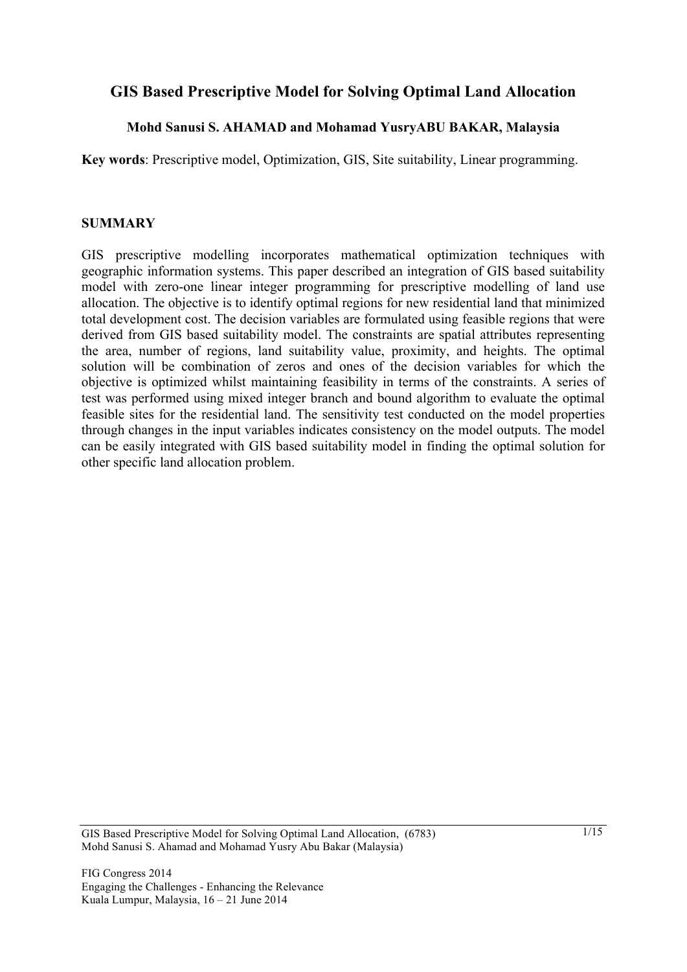# **GIS Based Prescriptive Model for Solving Optimal Land Allocation**

# **Mohd Sanusi S. AHAMAD and Mohamad YusryABU BAKAR, Malaysia**

**Key words**: Prescriptive model, Optimization, GIS, Site suitability, Linear programming.

#### **SUMMARY**

GIS prescriptive modelling incorporates mathematical optimization techniques with geographic information systems. This paper described an integration of GIS based suitability model with zero-one linear integer programming for prescriptive modelling of land use allocation. The objective is to identify optimal regions for new residential land that minimized total development cost. The decision variables are formulated using feasible regions that were derived from GIS based suitability model. The constraints are spatial attributes representing the area, number of regions, land suitability value, proximity, and heights. The optimal solution will be combination of zeros and ones of the decision variables for which the objective is optimized whilst maintaining feasibility in terms of the constraints. A series of test was performed using mixed integer branch and bound algorithm to evaluate the optimal feasible sites for the residential land. The sensitivity test conducted on the model properties through changes in the input variables indicates consistency on the model outputs. The model can be easily integrated with GIS based suitability model in finding the optimal solution for other specific land allocation problem.

GIS Based Prescriptive Model for Solving Optimal Land Allocation, (6783) Mohd Sanusi S. Ahamad and Mohamad Yusry Abu Bakar (Malaysia)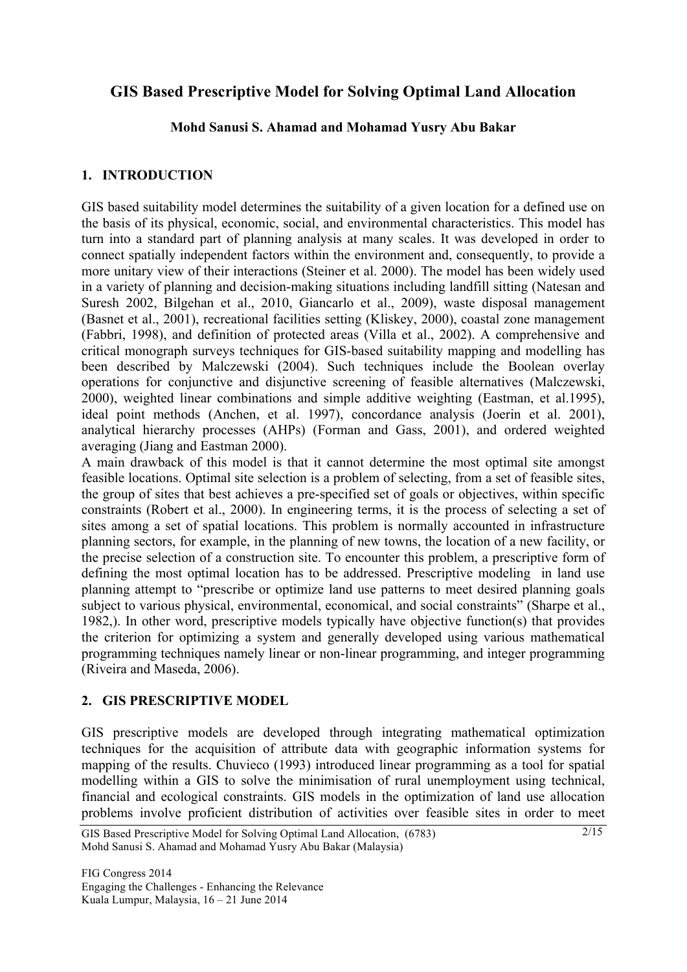# **GIS Based Prescriptive Model for Solving Optimal Land Allocation**

## **Mohd Sanusi S. Ahamad and Mohamad Yusry Abu Bakar**

# **1. INTRODUCTION**

GIS based suitability model determines the suitability of a given location for a defined use on the basis of its physical, economic, social, and environmental characteristics. This model has turn into a standard part of planning analysis at many scales. It was developed in order to connect spatially independent factors within the environment and, consequently, to provide a more unitary view of their interactions (Steiner et al. 2000). The model has been widely used in a variety of planning and decision-making situations including landfill sitting (Natesan and Suresh 2002, Bilgehan et al., 2010, Giancarlo et al., 2009), waste disposal management (Basnet et al., 2001), recreational facilities setting (Kliskey, 2000), coastal zone management (Fabbri, 1998), and definition of protected areas (Villa et al., 2002). A comprehensive and critical monograph surveys techniques for GIS-based suitability mapping and modelling has been described by Malczewski (2004). Such techniques include the Boolean overlay operations for conjunctive and disjunctive screening of feasible alternatives (Malczewski, 2000), weighted linear combinations and simple additive weighting (Eastman, et al.1995), ideal point methods (Anchen, et al. 1997), concordance analysis (Joerin et al. 2001), analytical hierarchy processes (AHPs) (Forman and Gass, 2001), and ordered weighted averaging (Jiang and Eastman 2000).

A main drawback of this model is that it cannot determine the most optimal site amongst feasible locations. Optimal site selection is a problem of selecting, from a set of feasible sites, the group of sites that best achieves a pre-specified set of goals or objectives, within specific constraints (Robert et al., 2000). In engineering terms, it is the process of selecting a set of sites among a set of spatial locations. This problem is normally accounted in infrastructure planning sectors, for example, in the planning of new towns, the location of a new facility, or the precise selection of a construction site. To encounter this problem, a prescriptive form of defining the most optimal location has to be addressed. Prescriptive modeling in land use planning attempt to "prescribe or optimize land use patterns to meet desired planning goals subject to various physical, environmental, economical, and social constraints" (Sharpe et al., 1982,). In other word, prescriptive models typically have objective function(s) that provides the criterion for optimizing a system and generally developed using various mathematical programming techniques namely linear or non-linear programming, and integer programming (Riveira and Maseda, 2006).

### **2. GIS PRESCRIPTIVE MODEL**

GIS prescriptive models are developed through integrating mathematical optimization techniques for the acquisition of attribute data with geographic information systems for mapping of the results. Chuvieco (1993) introduced linear programming as a tool for spatial modelling within a GIS to solve the minimisation of rural unemployment using technical, financial and ecological constraints. GIS models in the optimization of land use allocation problems involve proficient distribution of activities over feasible sites in order to meet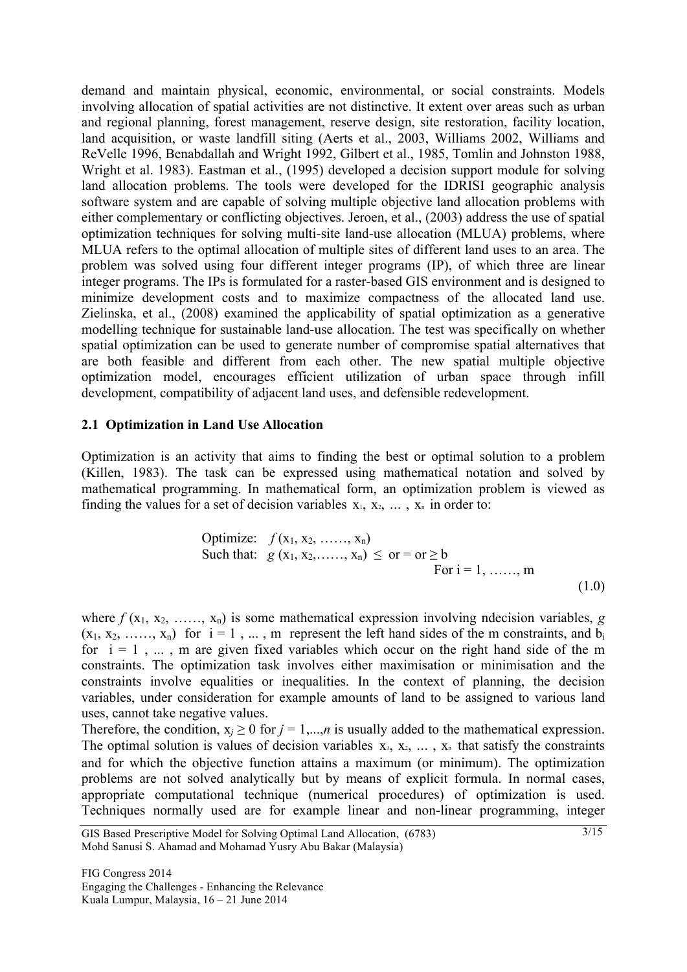demand and maintain physical, economic, environmental, or social constraints. Models involving allocation of spatial activities are not distinctive. It extent over areas such as urban and regional planning, forest management, reserve design, site restoration, facility location, land acquisition, or waste landfill siting (Aerts et al., 2003, Williams 2002, Williams and ReVelle 1996, Benabdallah and Wright 1992, Gilbert et al., 1985, Tomlin and Johnston 1988, Wright et al. 1983). Eastman et al., (1995) developed a decision support module for solving land allocation problems. The tools were developed for the IDRISI geographic analysis software system and are capable of solving multiple objective land allocation problems with either complementary or conflicting objectives. Jeroen, et al., (2003) address the use of spatial optimization techniques for solving multi-site land-use allocation (MLUA) problems, where MLUA refers to the optimal allocation of multiple sites of different land uses to an area. The problem was solved using four different integer programs (IP), of which three are linear integer programs. The IPs is formulated for a raster-based GIS environment and is designed to minimize development costs and to maximize compactness of the allocated land use. Zielinska, et al., (2008) examined the applicability of spatial optimization as a generative modelling technique for sustainable land-use allocation. The test was specifically on whether spatial optimization can be used to generate number of compromise spatial alternatives that are both feasible and different from each other. The new spatial multiple objective optimization model, encourages efficient utilization of urban space through infill development, compatibility of adjacent land uses, and defensible redevelopment.

#### **2.1 Optimization in Land Use Allocation**

Optimization is an activity that aims to finding the best or optimal solution to a problem (Killen, 1983). The task can be expressed using mathematical notation and solved by mathematical programming. In mathematical form, an optimization problem is viewed as finding the values for a set of decision variables  $x_1, x_2, \ldots, x_n$  in order to:

Optimize: 
$$
f(x_1, x_2, \ldots, x_n)
$$
  
Such that:  $g(x_1, x_2, \ldots, x_n) \le \text{ or } = \text{ or } \ge \text{ b}$   
For  $i = 1, \ldots, m$  (1.0)

where  $f(x_1, x_2, \ldots, x_n)$  is some mathematical expression involving ndecision variables,  $g$  $(x_1, x_2, \ldots, x_n)$  for  $i = 1, \ldots, m$  represent the left hand sides of the m constraints, and b<sub>i</sub> for  $i = 1, \ldots, m$  are given fixed variables which occur on the right hand side of the m constraints. The optimization task involves either maximisation or minimisation and the constraints involve equalities or inequalities. In the context of planning, the decision variables, under consideration for example amounts of land to be assigned to various land uses, cannot take negative values.

Therefore, the condition,  $x_j \ge 0$  for  $j = 1,...,n$  is usually added to the mathematical expression. The optimal solution is values of decision variables  $x_1, x_2, \ldots, x_n$  that satisfy the constraints and for which the objective function attains a maximum (or minimum). The optimization problems are not solved analytically but by means of explicit formula. In normal cases, appropriate computational technique (numerical procedures) of optimization is used. Techniques normally used are for example linear and non-linear programming, integer

GIS Based Prescriptive Model for Solving Optimal Land Allocation, (6783) Mohd Sanusi S. Ahamad and Mohamad Yusry Abu Bakar (Malaysia)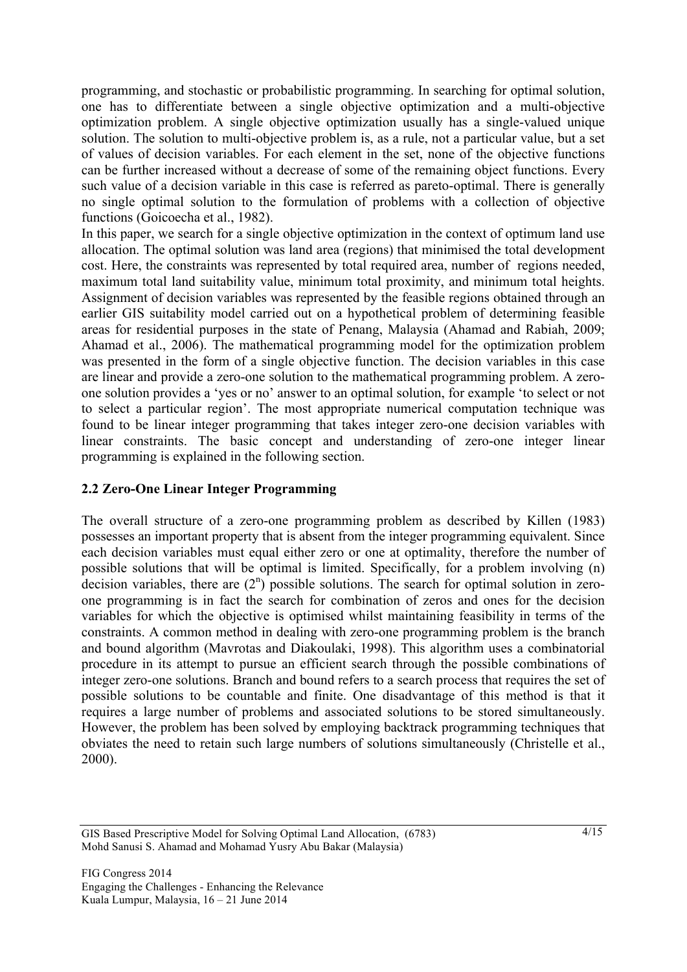programming, and stochastic or probabilistic programming. In searching for optimal solution, one has to differentiate between a single objective optimization and a multi-objective optimization problem. A single objective optimization usually has a single-valued unique solution. The solution to multi-objective problem is, as a rule, not a particular value, but a set of values of decision variables. For each element in the set, none of the objective functions can be further increased without a decrease of some of the remaining object functions. Every such value of a decision variable in this case is referred as pareto-optimal. There is generally no single optimal solution to the formulation of problems with a collection of objective functions (Goicoecha et al., 1982).

In this paper, we search for a single objective optimization in the context of optimum land use allocation. The optimal solution was land area (regions) that minimised the total development cost. Here, the constraints was represented by total required area, number of regions needed, maximum total land suitability value, minimum total proximity, and minimum total heights. Assignment of decision variables was represented by the feasible regions obtained through an earlier GIS suitability model carried out on a hypothetical problem of determining feasible areas for residential purposes in the state of Penang, Malaysia (Ahamad and Rabiah, 2009; Ahamad et al., 2006). The mathematical programming model for the optimization problem was presented in the form of a single objective function. The decision variables in this case are linear and provide a zero-one solution to the mathematical programming problem. A zeroone solution provides a 'yes or no' answer to an optimal solution, for example 'to select or not to select a particular region'. The most appropriate numerical computation technique was found to be linear integer programming that takes integer zero-one decision variables with linear constraints. The basic concept and understanding of zero-one integer linear programming is explained in the following section.

# **2.2 Zero-One Linear Integer Programming**

The overall structure of a zero-one programming problem as described by Killen (1983) possesses an important property that is absent from the integer programming equivalent. Since each decision variables must equal either zero or one at optimality, therefore the number of possible solutions that will be optimal is limited. Specifically, for a problem involving (n) decision variables, there are  $(2^n)$  possible solutions. The search for optimal solution in zeroone programming is in fact the search for combination of zeros and ones for the decision variables for which the objective is optimised whilst maintaining feasibility in terms of the constraints. A common method in dealing with zero-one programming problem is the branch and bound algorithm (Mavrotas and Diakoulaki, 1998). This algorithm uses a combinatorial procedure in its attempt to pursue an efficient search through the possible combinations of integer zero-one solutions. Branch and bound refers to a search process that requires the set of possible solutions to be countable and finite. One disadvantage of this method is that it requires a large number of problems and associated solutions to be stored simultaneously. However, the problem has been solved by employing backtrack programming techniques that obviates the need to retain such large numbers of solutions simultaneously (Christelle et al., 2000).

GIS Based Prescriptive Model for Solving Optimal Land Allocation, (6783) Mohd Sanusi S. Ahamad and Mohamad Yusry Abu Bakar (Malaysia)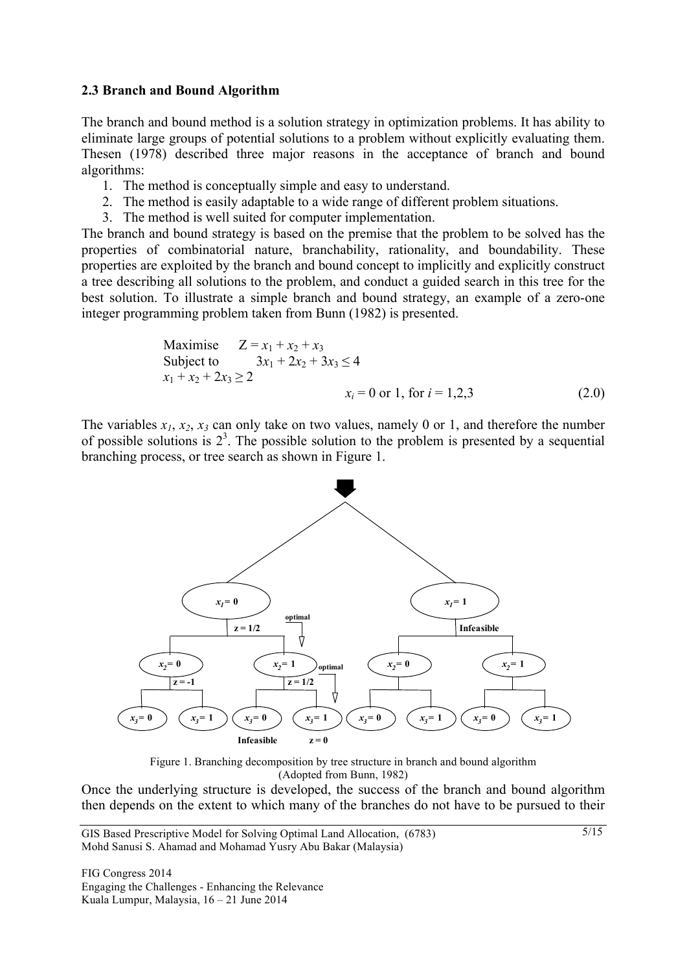#### **2.3 Branch and Bound Algorithm**

The branch and bound method is a solution strategy in optimization problems. It has ability to eliminate large groups of potential solutions to a problem without explicitly evaluating them. Thesen (1978) described three major reasons in the acceptance of branch and bound algorithms:

- 1. The method is conceptually simple and easy to understand.
- 2. The method is easily adaptable to a wide range of different problem situations.
- 3. The method is well suited for computer implementation.

The branch and bound strategy is based on the premise that the problem to be solved has the properties of combinatorial nature, branchability, rationality, and boundability. These properties are exploited by the branch and bound concept to implicitly and explicitly construct a tree describing all solutions to the problem, and conduct a guided search in this tree for the best solution. To illustrate a simple branch and bound strategy, an example of a zero-one integer programming problem taken from Bunn (1982) is presented.

Maximise 
$$
Z = x_1 + x_2 + x_3
$$
  
\nSubject to  $3x_1 + 2x_2 + 3x_3 \le 4$   
\n $x_1 + x_2 + 2x_3 \ge 2$   
\n $x_i = 0$  or 1, for  $i = 1, 2, 3$  (2.0)

The variables  $x_1, x_2, x_3$  can only take on two values, namely 0 or 1, and therefore the number of possible solutions is  $2<sup>3</sup>$ . The possible solution to the problem is presented by a sequential branching process, or tree search as shown in Figure 1.



Figure 1. Branching decomposition by tree structure in branch and bound algorithm (Adopted from Bunn, 1982)

Once the underlying structure is developed, the success of the branch and bound algorithm then depends on the extent to which many of the branches do not have to be pursued to their

GIS Based Prescriptive Model for Solving Optimal Land Allocation, (6783) Mohd Sanusi S. Ahamad and Mohamad Yusry Abu Bakar (Malaysia)

FIG Congress 2014 Engaging the Challenges - Enhancing the Relevance Kuala Lumpur, Malaysia, 16 – 21 June 2014

5/15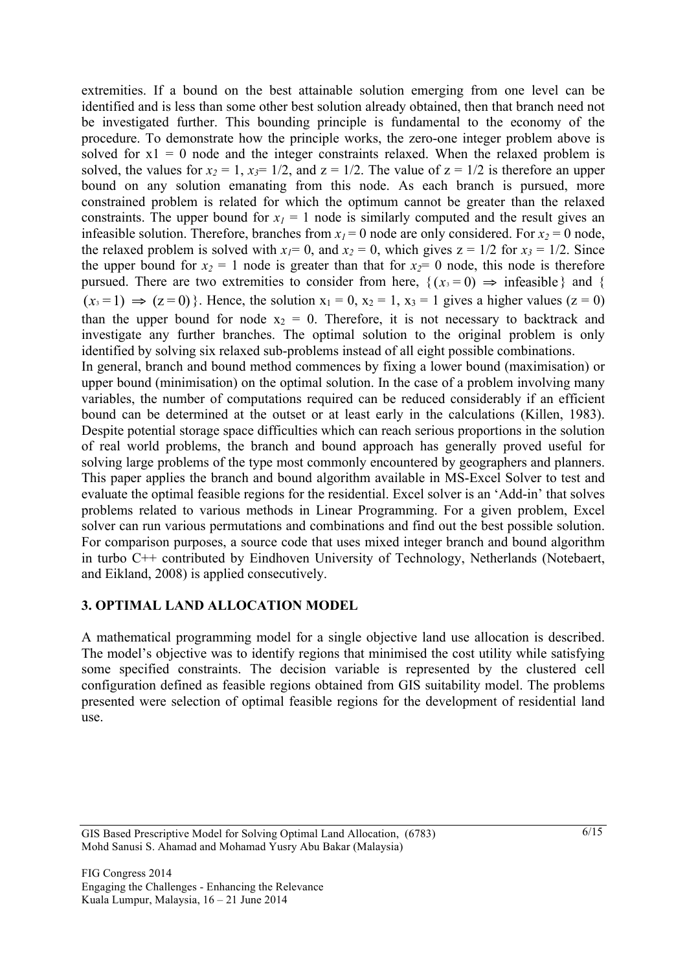extremities. If a bound on the best attainable solution emerging from one level can be identified and is less than some other best solution already obtained, then that branch need not be investigated further. This bounding principle is fundamental to the economy of the procedure. To demonstrate how the principle works, the zero-one integer problem above is solved for  $x1 = 0$  node and the integer constraints relaxed. When the relaxed problem is solved, the values for  $x_2 = 1$ ,  $x_3 = 1/2$ , and  $z = 1/2$ . The value of  $z = 1/2$  is therefore an upper bound on any solution emanating from this node. As each branch is pursued, more constrained problem is related for which the optimum cannot be greater than the relaxed constraints. The upper bound for  $x_1 = 1$  node is similarly computed and the result gives an infeasible solution. Therefore, branches from  $x_1 = 0$  node are only considered. For  $x_2 = 0$  node, the relaxed problem is solved with  $x_1 = 0$ , and  $x_2 = 0$ , which gives  $z = 1/2$  for  $x_3 = 1/2$ . Since the upper bound for  $x_2 = 1$  node is greater than that for  $x_2 = 0$  node, this node is therefore pursued. There are two extremities to consider from here,  $\{(x_i = 0) \Rightarrow \text{infeasible}\}\$  and  $\{$  $(x_3 = 1) \implies (z = 0)$ . Hence, the solution  $x_1 = 0$ ,  $x_2 = 1$ ,  $x_3 = 1$  gives a higher values  $(z = 0)$ than the upper bound for node  $x_2 = 0$ . Therefore, it is not necessary to backtrack and investigate any further branches. The optimal solution to the original problem is only identified by solving six relaxed sub-problems instead of all eight possible combinations. In general, branch and bound method commences by fixing a lower bound (maximisation) or upper bound (minimisation) on the optimal solution. In the case of a problem involving many variables, the number of computations required can be reduced considerably if an efficient bound can be determined at the outset or at least early in the calculations (Killen, 1983). Despite potential storage space difficulties which can reach serious proportions in the solution of real world problems, the branch and bound approach has generally proved useful for solving large problems of the type most commonly encountered by geographers and planners. This paper applies the branch and bound algorithm available in MS-Excel Solver to test and evaluate the optimal feasible regions for the residential. Excel solver is an 'Add-in' that solves problems related to various methods in Linear Programming. For a given problem, Excel solver can run various permutations and combinations and find out the best possible solution. For comparison purposes, a source code that uses mixed integer branch and bound algorithm in turbo C++ contributed by Eindhoven University of Technology, Netherlands (Notebaert, and Eikland, 2008) is applied consecutively.

### **3. OPTIMAL LAND ALLOCATION MODEL**

A mathematical programming model for a single objective land use allocation is described. The model's objective was to identify regions that minimised the cost utility while satisfying some specified constraints. The decision variable is represented by the clustered cell configuration defined as feasible regions obtained from GIS suitability model. The problems presented were selection of optimal feasible regions for the development of residential land use.

GIS Based Prescriptive Model for Solving Optimal Land Allocation, (6783) Mohd Sanusi S. Ahamad and Mohamad Yusry Abu Bakar (Malaysia)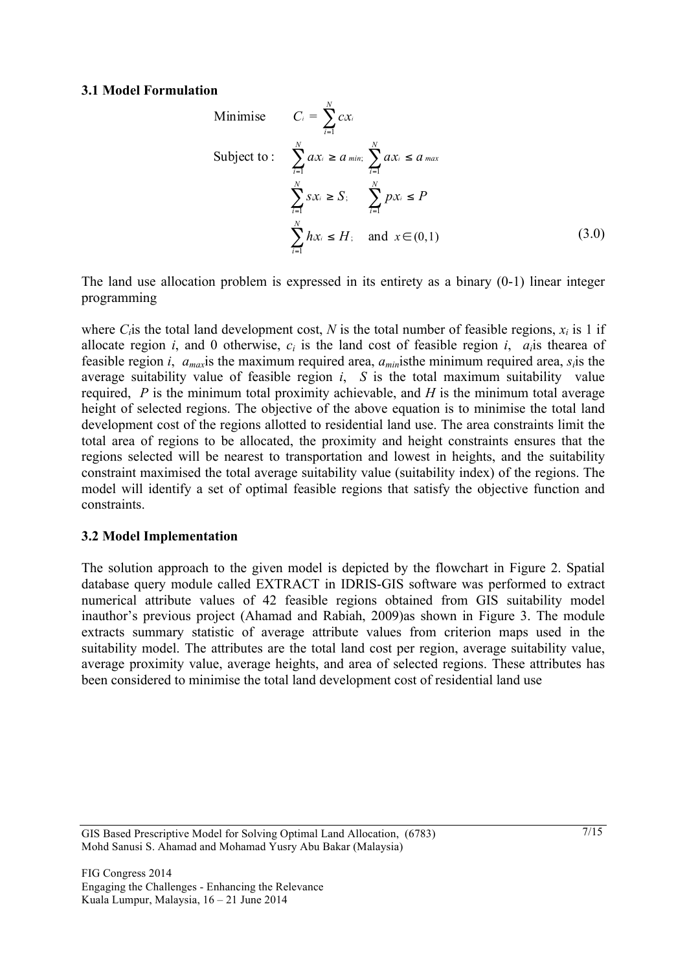#### **3.1 Model Formulation**

Minimise 
$$
C_i = \sum_{i=1}^{N} cx_i
$$
  
\nSubject to:  $\sum_{i=1}^{N} ax_i \ge a_{min}$ ;  $\sum_{i=1}^{N} ax_i \le a_{max}$   
\n $\sum_{i=1}^{N} sx_i \ge S$ ;  $\sum_{i=1}^{N} px_i \le P$   
\n $\sum_{i=1}^{N} hx_i \le H$ ; and  $x \in (0,1)$  (3.0)

The land use allocation problem is expressed in its entirety as a binary (0-1) linear integer programming

where  $C_i$  is the total land development cost,  $N$  is the total number of feasible regions,  $x_i$  is 1 if allocate region *i*, and 0 otherwise, *ci* is the land cost of feasible region *i*, *ai*is thearea of feasible region *i*, *amax*is the maximum required area, *amin*isthe minimum required area, *si*is the average suitability value of feasible region *i*, *S* is the total maximum suitability value required, *P* is the minimum total proximity achievable, and *H* is the minimum total average height of selected regions. The objective of the above equation is to minimise the total land development cost of the regions allotted to residential land use. The area constraints limit the total area of regions to be allocated, the proximity and height constraints ensures that the regions selected will be nearest to transportation and lowest in heights, and the suitability constraint maximised the total average suitability value (suitability index) of the regions. The model will identify a set of optimal feasible regions that satisfy the objective function and constraints.

#### **3.2 Model Implementation**

The solution approach to the given model is depicted by the flowchart in Figure 2. Spatial database query module called EXTRACT in IDRIS-GIS software was performed to extract numerical attribute values of 42 feasible regions obtained from GIS suitability model inauthor's previous project (Ahamad and Rabiah, 2009)as shown in Figure 3. The module extracts summary statistic of average attribute values from criterion maps used in the suitability model. The attributes are the total land cost per region, average suitability value, average proximity value, average heights, and area of selected regions. These attributes has been considered to minimise the total land development cost of residential land use

GIS Based Prescriptive Model for Solving Optimal Land Allocation, (6783) Mohd Sanusi S. Ahamad and Mohamad Yusry Abu Bakar (Malaysia)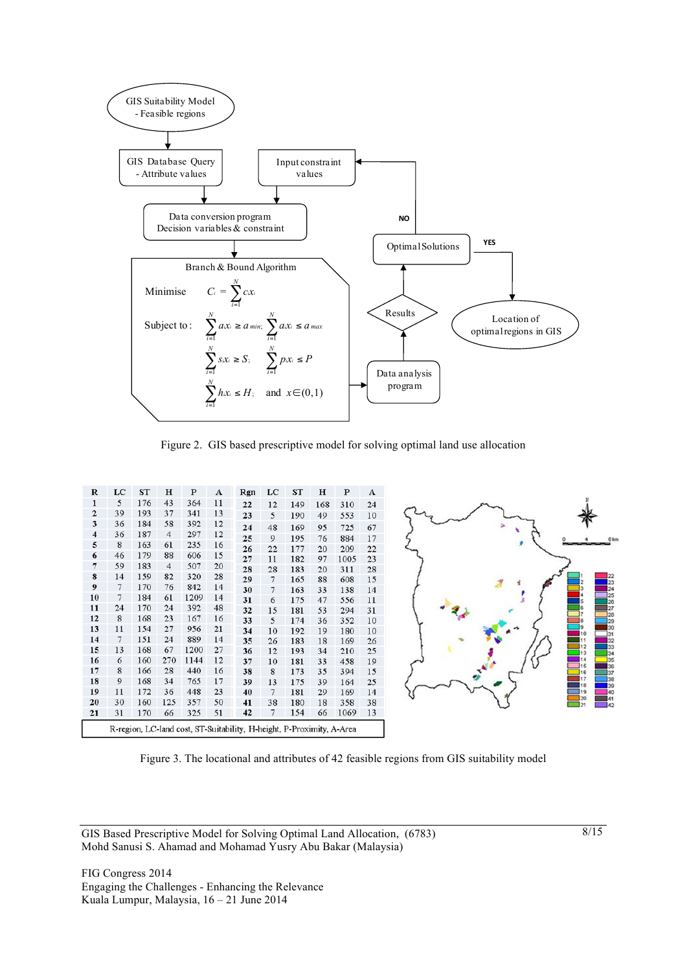

Figure 2. GIS based prescriptive model for solving optimal land use allocation

| R              | LC | ST  | н              | P    | A  | Rgn                                                                   | LC | ST  | н   | P    | А  |
|----------------|----|-----|----------------|------|----|-----------------------------------------------------------------------|----|-----|-----|------|----|
| $\mathbf{1}$   | 5  | 176 | 43             | 364  | 11 | 22                                                                    | 12 | 149 | 168 | 310  | 24 |
| $\overline{2}$ | 39 | 193 | 37             | 341  | 13 | 23                                                                    | 5  | 190 | 49  | 553  | 10 |
| 3              | 36 | 184 | 58             | 392  | 12 | 24                                                                    | 48 | 169 | 95  | 725  | 67 |
| 4              | 36 | 187 | 4              | 297  | 12 | 25                                                                    | 9  | 195 | 76  | 884  | 17 |
| 5              | 8  | 163 | 61             | 235  | 16 | 26                                                                    | 22 | 177 | 20  | 209  | 22 |
| 6              | 46 | 179 | 88             | 606  | 15 | 27                                                                    | 11 | 182 | 97  | 1005 | 23 |
| 7              | 59 | 183 | $\overline{4}$ | 507  | 20 | 28                                                                    | 28 | 183 | 20  | 311  | 28 |
| 8              | 14 | 159 | 82             | 320  | 28 | 29                                                                    | 7  | 165 | 88  | 608  | 15 |
| 9              | 7  | 170 | 76             | 842  | 14 | 30                                                                    | 7  | 163 | 33  | 138  | 14 |
| 10             | 7  | 184 | 61             | 1209 | 14 | 31                                                                    | 6  | 175 | 47  | 556  | 11 |
| 11             | 24 | 170 | 24             | 392  | 48 | 32                                                                    | 15 | 181 | 53  | 294  | 31 |
| 12             | 8  | 168 | 23             | 167  | 16 | 33                                                                    | 5  | 174 | 36  | 352  | 10 |
| 13             | 11 | 154 | 27             | 956  | 21 | 34                                                                    | 10 | 192 | 19  | 180  | 10 |
| 14             | 7  | 151 | 24             | 889  | 14 | 35                                                                    | 26 | 183 | 18  | 169  | 26 |
| 15             | 13 | 168 | 67             | 1200 | 27 | 36                                                                    | 12 | 193 | 34  | 210  | 25 |
| 16             | 6  | 160 | 270            | 1144 | 12 | 37                                                                    | 10 | 181 | 33  | 458  | 19 |
| 17             | 8  | 166 | 28             | 440  | 16 | 38                                                                    | 8  | 173 | 35  | 394  | 15 |
| 18             | 9  | 168 | 34             | 765  | 17 | 39                                                                    | 13 | 175 | 39  | 164  | 25 |
| 19             | 11 | 172 | 36             | 448  | 23 | 40                                                                    | 7  | 181 | 29  | 169  | 14 |
| 20             | 30 | 160 | 125            | 357  | 50 | 41                                                                    | 38 | 180 | 18  | 358  | 38 |
| 21             | 31 | 170 | 66             | 325  | 51 | 42                                                                    | 7  | 154 | 66  | 1069 | 13 |
|                |    |     |                |      |    | R-region, LC-land cost, ST-Suitability, H-height, P-Proximity, A-Area |    |     |     |      |    |



Figure 3. The locational and attributes of 42 feasible regions from GIS suitability model

GIS Based Prescriptive Model for Solving Optimal Land Allocation, (6783) Mohd Sanusi S. Ahamad and Mohamad Yusry Abu Bakar (Malaysia)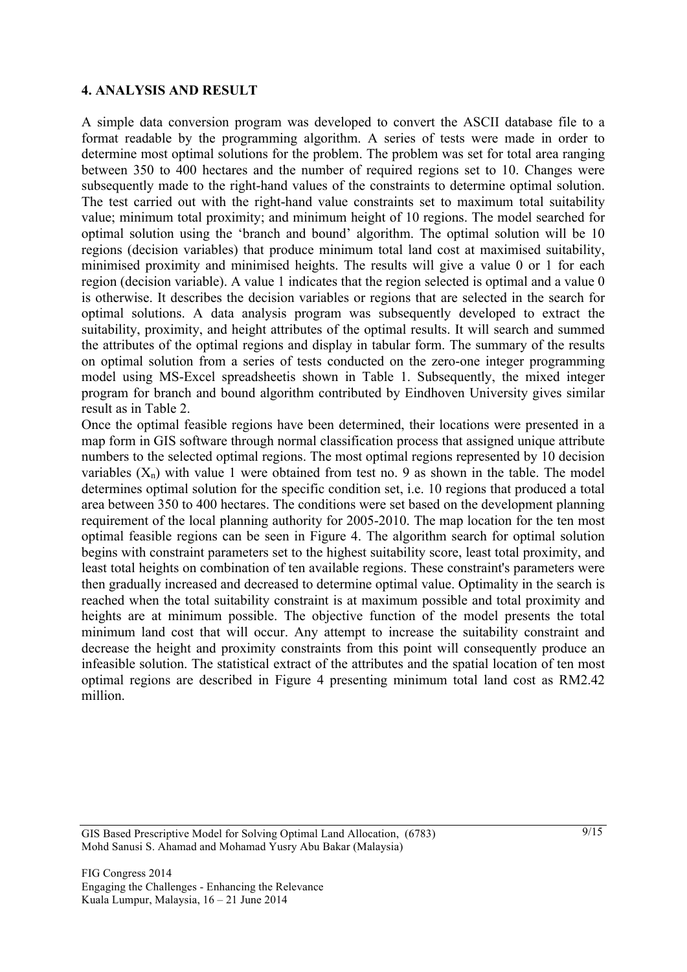#### **4. ANALYSIS AND RESULT**

A simple data conversion program was developed to convert the ASCII database file to a format readable by the programming algorithm. A series of tests were made in order to determine most optimal solutions for the problem. The problem was set for total area ranging between 350 to 400 hectares and the number of required regions set to 10. Changes were subsequently made to the right-hand values of the constraints to determine optimal solution. The test carried out with the right-hand value constraints set to maximum total suitability value; minimum total proximity; and minimum height of 10 regions. The model searched for optimal solution using the 'branch and bound' algorithm. The optimal solution will be 10 regions (decision variables) that produce minimum total land cost at maximised suitability, minimised proximity and minimised heights. The results will give a value 0 or 1 for each region (decision variable). A value 1 indicates that the region selected is optimal and a value 0 is otherwise. It describes the decision variables or regions that are selected in the search for optimal solutions. A data analysis program was subsequently developed to extract the suitability, proximity, and height attributes of the optimal results. It will search and summed the attributes of the optimal regions and display in tabular form. The summary of the results on optimal solution from a series of tests conducted on the zero-one integer programming model using MS-Excel spreadsheetis shown in Table 1. Subsequently, the mixed integer program for branch and bound algorithm contributed by Eindhoven University gives similar result as in Table 2.

Once the optimal feasible regions have been determined, their locations were presented in a map form in GIS software through normal classification process that assigned unique attribute numbers to the selected optimal regions. The most optimal regions represented by 10 decision variables  $(X_n)$  with value 1 were obtained from test no. 9 as shown in the table. The model determines optimal solution for the specific condition set, i.e. 10 regions that produced a total area between 350 to 400 hectares. The conditions were set based on the development planning requirement of the local planning authority for 2005-2010. The map location for the ten most optimal feasible regions can be seen in Figure 4. The algorithm search for optimal solution begins with constraint parameters set to the highest suitability score, least total proximity, and least total heights on combination of ten available regions. These constraint's parameters were then gradually increased and decreased to determine optimal value. Optimality in the search is reached when the total suitability constraint is at maximum possible and total proximity and heights are at minimum possible. The objective function of the model presents the total minimum land cost that will occur. Any attempt to increase the suitability constraint and decrease the height and proximity constraints from this point will consequently produce an infeasible solution. The statistical extract of the attributes and the spatial location of ten most optimal regions are described in Figure 4 presenting minimum total land cost as RM2.42 million.

GIS Based Prescriptive Model for Solving Optimal Land Allocation, (6783) Mohd Sanusi S. Ahamad and Mohamad Yusry Abu Bakar (Malaysia)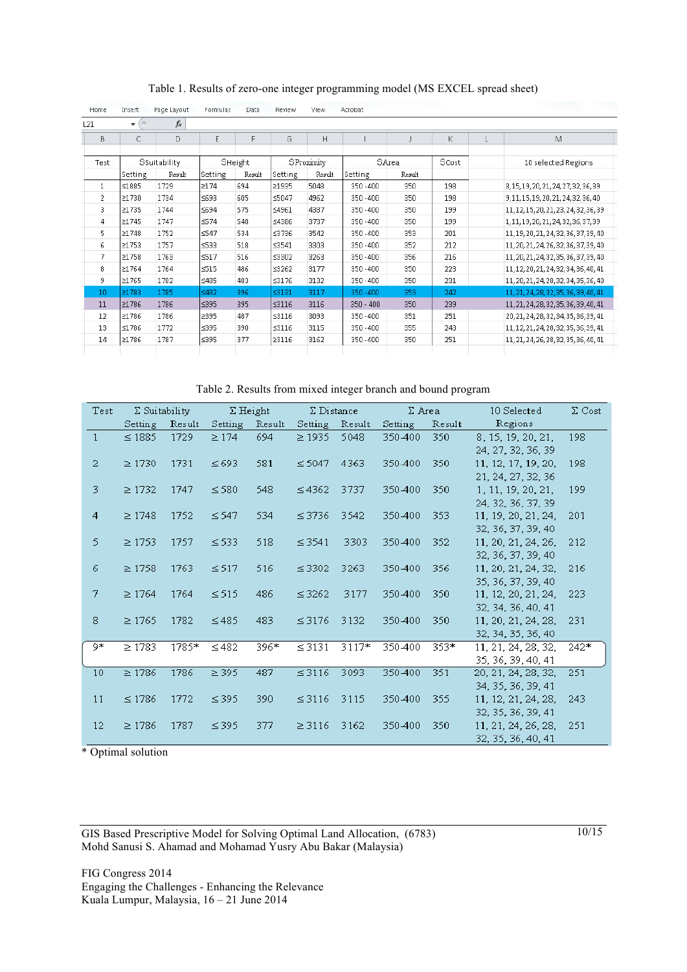| Home           | Insert       | Page Layout | Formulas   | Data    | Review      | View   | Acrobat     |        |     |   |                                        |  |
|----------------|--------------|-------------|------------|---------|-------------|--------|-------------|--------|-----|---|----------------------------------------|--|
| L21            | $\sim$<br>÷  | $f_x$       |            |         |             |        |             |        |     |   |                                        |  |
| B              | C            | D           | E          | F       | G           | H      |             |        | K   | L | M                                      |  |
|                |              |             |            |         |             |        |             |        |     |   |                                        |  |
| <b>Test</b>    | Ssuitability |             |            | SHeight | SProximity  |        |             | SArea  |     |   | 10 selected Regions                    |  |
|                | Setting      | Result      | Setting    | Result  | Setting     | Result | Setting     | Result |     |   |                                        |  |
| $\mathbf{1}$   | ≤1885        | 1729        | 2174       | 694     | 21935       | 5048   | 350 - 400   | 350    | 198 |   | 8, 15, 19, 20, 21, 24, 27, 32, 36, 39  |  |
| $\overline{2}$ | 21730        | 1734        | ≤693       | 605     | ≤5047       | 4962   | $350 - 400$ | 350    | 198 |   | 9, 11, 15, 19, 20, 21, 24, 32, 36, 40  |  |
| 3              | 21735        | 1744        | ≤694       | 575     | ≤4961       | 4387   | 350 - 400   | 350    | 199 |   | 11, 12, 15, 20, 21, 23, 24, 32, 36, 39 |  |
| 4              | 21745        | 1747        | ≤574       | 548     | ≤4386       | 3737   | 350 - 400   | 350    | 199 |   | 1, 11, 19, 20, 21, 24, 32, 36, 37, 39  |  |
| 5.             | 21748        | 1752        | ≤547       | 534     | ≤3736       | 3542   | 350 - 400   | 353    | 201 |   | 11, 19, 20, 21, 24, 32, 36, 37, 39, 40 |  |
| 6              | 21753        | 1757        | ≤533       | 518     | $\leq$ 3541 | 3303   | 350 - 400   | 352    | 212 |   | 11, 20, 21, 24, 26, 32, 36, 37, 39, 40 |  |
| 7              | 21758        | 1763        | $\leq 517$ | 516     | ≤3302       | 3263   | 350 - 400   | 356    | 216 |   | 11, 20, 21, 24, 32, 35, 36, 37, 39, 40 |  |
| 8              | 21764        | 1764        | $515$      | 486     | $\leq$ 3262 | 3177   | 350 - 400   | 350    | 223 |   | 11, 12, 20, 21, 24, 32, 34, 36, 40, 41 |  |
| 9              | 21765        | 1782        | ≤485       | 483     | $\leq$ 3176 | 3132   | 350 - 400   | 350    | 231 |   | 11, 20, 21, 24, 28, 32, 34, 35, 36, 40 |  |
| 10             | 21783        | 1785        | ≤482       | 396     | ≤3131       | 3117   | 350 - 400   | 353    | 242 |   | 11, 21, 24, 28, 32, 35, 36, 39, 40, 41 |  |
| 11             | ≥1786        | 1786        | ≤395       | 395     | ≤3116       | 3116   | $350 - 400$ | 350    | 239 |   | 11, 21, 24, 28, 32, 35, 36, 39, 40, 41 |  |
| 12             | 21786        | 1786        | 2395       | 487     | $\leq$ 3116 | 3093   | 350 - 400   | 351    | 251 |   | 20, 21, 24, 28, 32, 34, 35, 36, 39, 41 |  |
| 13             | ≤1786        | 1772        | ≤395       | 390     | ≤3116       | 3115   | $350 - 400$ | 355    | 243 |   | 11, 12, 21, 24, 28, 32, 35, 36, 39, 41 |  |
| 14             | ≥1786        | 1787        | ≤395       | 377     | 23116       | 3162   | 350 - 400   | 350    | 251 |   | 11, 21, 24, 26, 28, 32, 35, 36, 40, 41 |  |
|                |              |             |            |         |             |        |             |        |     |   |                                        |  |

Table 1. Results of zero-one integer programming model (MS EXCEL spread sheet)

Table 2. Results from mixed integer branch and bound program

| Test           | $\Sigma$ Suitability |        |            | $\Sigma$ Height | $\Sigma$ Distance |        | $\Sigma$ Area |        | 10 Selected         | $\Sigma$ Cost |
|----------------|----------------------|--------|------------|-----------------|-------------------|--------|---------------|--------|---------------------|---------------|
|                | Setting              | Result | Setting    | Result          | Setting           | Result | Setting       | Result | Regions             |               |
| $\mathbf{1}$   | $\leq$ 1885          | 1729   | $\geq$ 174 | 694             | $\geq$ 1935       | 5048   | 350-400       | 350    | 8, 15, 19, 20, 21,  | 198           |
|                |                      |        |            |                 |                   |        |               |        | 24, 27, 32, 36, 39  |               |
| $\overline{2}$ | $\geq$ 1730          | 1731   | $\leq 693$ | 581             | $\leq 5047$       | 4363   | 350-400       | 350    | 11, 12, 17, 19, 20, | 198           |
|                |                      |        |            |                 |                   |        |               |        | 21, 24, 27, 32, 36  |               |
| 3              | $\geq$ 1732          | 1747   | $\leq$ 580 | 548             | $\leq 4362$       | 3737   | 350-400       | 350    | 1, 11, 19, 20, 21,  | 199           |
|                |                      |        |            |                 |                   |        |               |        | 24, 32, 36, 37, 39  |               |
| 4              | $\geq$ 1748          | 1752   | $\leq 547$ | 534             | $\leq$ 3736       | 3542   | 350-400       | 353    | 11, 19, 20, 21, 24, | 201           |
|                |                      |        |            |                 |                   |        |               |        | 32, 36, 37, 39, 40  |               |
| 5              | $\geq$ 1753          | 1757   | $\leq$ 533 | 518             | $\leq$ 3541       | 3303   | 350-400       | 352    | 11, 20, 21, 24, 26, | 212           |
|                |                      |        |            |                 |                   |        |               |        | 32, 36, 37, 39, 40  |               |
| 6              | $\geq$ 1758          | 1763   | $\leq 517$ | 516             | $\leq$ 3302       | 3263   | 350-400       | 356    | 11, 20, 21, 24, 32, | 216           |
|                |                      |        |            |                 |                   |        |               |        | 35, 36, 37, 39, 40  |               |
| 7              | $\geq 1764$          | 1764   | $\leq 515$ | 486             | $\leq$ 3262       | 3177   | 350-400       | 350    | 11, 12, 20, 21, 24, | 223           |
|                |                      |        |            |                 |                   |        |               |        | 32, 34, 36, 40, 41  |               |
| 8              | $\geq 1765$          | 1782   | $\leq 485$ | 483             | $\leq$ 3176       | 3132   | 350-400       | 350    | 11, 20, 21, 24, 28, | 231           |
|                |                      |        |            |                 |                   |        |               |        | 32, 34, 35, 36, 40  |               |
| Q≉             | $\geq$ 1783          | 1785*  | $\leq 482$ | $396*$          | $\leq$ 3131       | 3117*  | 350-400       | 353*   | 11, 21, 24, 28, 32, | 242*          |
|                |                      |        |            |                 |                   |        |               |        | 35, 36, 39, 40, 41  |               |
| 10             | $\geq 1786$          | 1786   | $\geq$ 395 | 487             | $\leq$ 3116       | 3093   | 350-400       | 351    | 20, 21, 24, 28, 32, | 251           |
|                |                      |        |            |                 |                   |        |               |        | 34, 35, 36, 39, 41  |               |
| 11             | $\leq 1786$          | 1772   | $\leq$ 395 | 390             | $\leq$ 3116       | 3115   | 350-400       | 355    | 11, 12, 21, 24, 28, | 243           |
|                |                      |        |            |                 |                   |        |               |        | 32, 35, 36, 39, 41  |               |
| 12             | $\geq$ 1786          | 1787   | $\leq$ 395 | 377             | $\geq$ 3116       | 3162   | 350-400       | 350    | 11, 21, 24, 26, 28, | 251           |
|                |                      |        |            |                 |                   |        |               |        | 32, 35, 36, 40, 41  |               |

\* Optimal solution

GIS Based Prescriptive Model for Solving Optimal Land Allocation, (6783) Mohd Sanusi S. Ahamad and Mohamad Yusry Abu Bakar (Malaysia)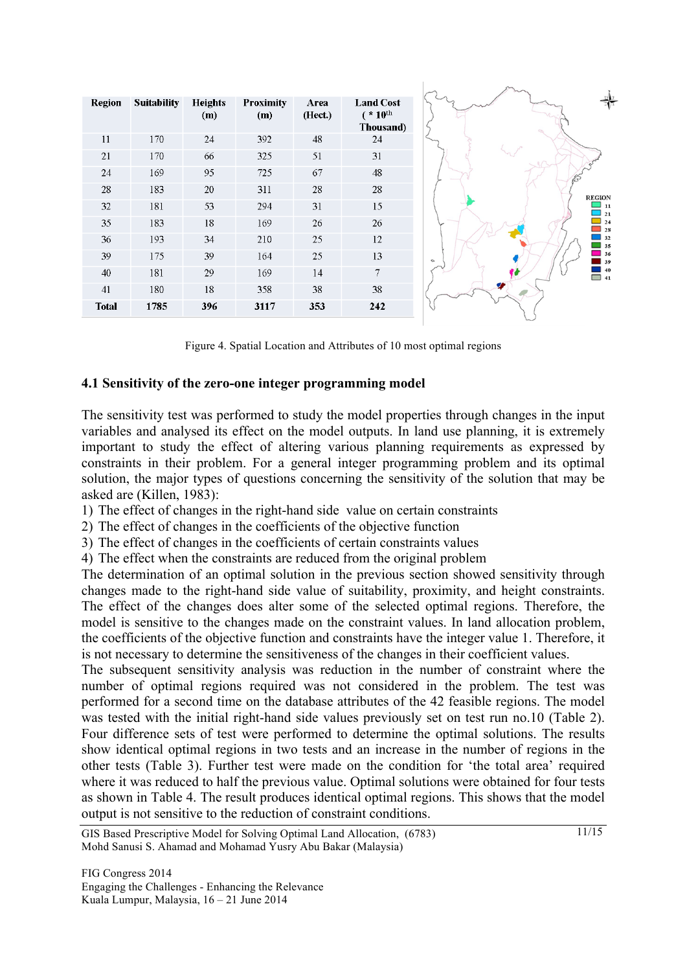| <b>Region</b> | <b>Suitability</b> | <b>Heights</b><br>(m) | <b>Proximity</b><br>(m) | Area<br>(Hect.) | <b>Land Cost</b><br>$*10^{\text{th}}$<br>Thousand) |                         |
|---------------|--------------------|-----------------------|-------------------------|-----------------|----------------------------------------------------|-------------------------|
| 11            | 170                | 24                    | 392                     | 48              | 24                                                 |                         |
| 21            | 170                | 66                    | 325                     | 51              | 31                                                 |                         |
| 24            | 169                | 95                    | 725                     | 67              | 48                                                 |                         |
| 28            | 183                | 20                    | 311                     | 28              | 28                                                 | <b>REGION</b>           |
| 32            | 181                | 53                    | 294                     | 31              | 15                                                 | 11<br>21                |
| 35            | 183                | 18                    | 169                     | 26              | 26                                                 | 24<br>28                |
| 36            | 193                | 34                    | 210                     | 25              | 12                                                 | 32<br>35                |
| 39            | 175                | 39                    | 164                     | 25              | 13                                                 | 36<br>$\alpha$<br>39    |
| 40            | 181                | 29                    | 169                     | 14              | 7                                                  | 40<br>$\blacksquare$ 41 |
| 41            | 180                | 18                    | 358                     | 38              | 38                                                 |                         |
| <b>Total</b>  | 1785               | 396                   | 3117                    | 353             | 242                                                |                         |

Figure 4. Spatial Location and Attributes of 10 most optimal regions

#### **4.1 Sensitivity of the zero-one integer programming model**

The sensitivity test was performed to study the model properties through changes in the input variables and analysed its effect on the model outputs. In land use planning, it is extremely important to study the effect of altering various planning requirements as expressed by constraints in their problem. For a general integer programming problem and its optimal solution, the major types of questions concerning the sensitivity of the solution that may be asked are (Killen, 1983):

1) The effect of changes in the right-hand side value on certain constraints

2) The effect of changes in the coefficients of the objective function

3) The effect of changes in the coefficients of certain constraints values

4) The effect when the constraints are reduced from the original problem

The determination of an optimal solution in the previous section showed sensitivity through changes made to the right-hand side value of suitability, proximity, and height constraints. The effect of the changes does alter some of the selected optimal regions. Therefore, the model is sensitive to the changes made on the constraint values. In land allocation problem, the coefficients of the objective function and constraints have the integer value 1. Therefore, it is not necessary to determine the sensitiveness of the changes in their coefficient values.

The subsequent sensitivity analysis was reduction in the number of constraint where the number of optimal regions required was not considered in the problem. The test was performed for a second time on the database attributes of the 42 feasible regions. The model was tested with the initial right-hand side values previously set on test run no.10 (Table 2). Four difference sets of test were performed to determine the optimal solutions. The results show identical optimal regions in two tests and an increase in the number of regions in the other tests (Table 3). Further test were made on the condition for 'the total area' required where it was reduced to half the previous value. Optimal solutions were obtained for four tests as shown in Table 4. The result produces identical optimal regions. This shows that the model output is not sensitive to the reduction of constraint conditions.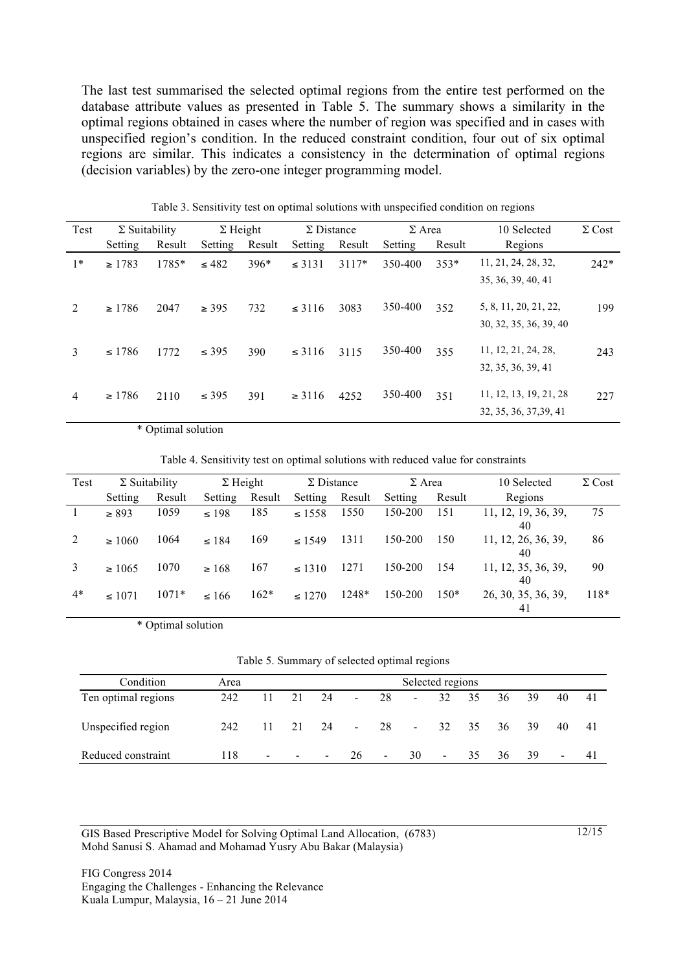The last test summarised the selected optimal regions from the entire test performed on the database attribute values as presented in Table 5. The summary shows a similarity in the optimal regions obtained in cases where the number of region was specified and in cases with unspecified region's condition. In the reduced constraint condition, four out of six optimal regions are similar. This indicates a consistency in the determination of optimal regions (decision variables) by the zero-one integer programming model.

| Test | $\Sigma$ Suitability |        | $\Sigma$ Height |        |             | $\Sigma$ Distance |         | $\Sigma$ Area | 10 Selected            | $\Sigma$ Cost |
|------|----------------------|--------|-----------------|--------|-------------|-------------------|---------|---------------|------------------------|---------------|
|      | Setting              | Result | Setting         | Result | Setting     | Result            | Setting | Result        | Regions                |               |
| $1*$ | $\geq 1783$          | 1785*  | $\leq 482$      | $396*$ | $\leq$ 3131 | $3117*$           | 350-400 | $353*$        | 11, 21, 24, 28, 32,    | $242*$        |
|      |                      |        |                 |        |             |                   |         |               | 35, 36, 39, 40, 41     |               |
| 2    | $\geq 1786$          | 2047   | $\geq$ 395      | 732    | $\leq$ 3116 | 3083              | 350-400 | 352           | 5, 8, 11, 20, 21, 22,  | 199           |
|      |                      |        |                 |        |             |                   |         |               | 30, 32, 35, 36, 39, 40 |               |
| 3    | $\leq 1786$          | 1772   | $\leq$ 395      | 390    | $\leq$ 3116 | 3115              | 350-400 | 355           | 11, 12, 21, 24, 28,    | 243           |
|      |                      |        |                 |        |             |                   |         |               | 32, 35, 36, 39, 41     |               |
| 4    | $\geq 1786$          | 2110   | $\leq$ 395      | 391    | $\geq 3116$ | 4252              | 350-400 | 351           | 11, 12, 13, 19, 21, 28 | 227           |
|      |                      |        |                 |        |             |                   |         |               | 32, 35, 36, 37, 39, 41 |               |

Table 3. Sensitivity test on optimal solutions with unspecified condition on regions

\* Optimal solution

Table 4. Sensitivity test on optimal solutions with reduced value for constraints

| Test | $\Sigma$ Suitability |         | $\Sigma$ Height |        | $\Sigma$ Distance<br>$\Sigma$ Area |        | 10 Selected | $\Sigma$ Cost |                           |        |
|------|----------------------|---------|-----------------|--------|------------------------------------|--------|-------------|---------------|---------------------------|--------|
|      | Setting              | Result  | Setting         | Result | Setting                            | Result | Setting     | Result        | Regions                   |        |
|      | $\geq 893$           | 1059    | $\leq 198$      | 185    | $\leq 1558$                        | 1550   | 150-200     | 151           | 11, 12, 19, 36, 39,<br>40 | 75     |
|      | $\geq 1060$          | 1064    | $\leq 184$      | 169    | $\leq 1549$                        | 1311   | 150-200     | 150           | 11, 12, 26, 36, 39,<br>40 | 86     |
| 3    | $\geq 1065$          | 1070    | $\geq 168$      | 167    | $\leq 1310$                        | 1271   | 150-200     | 154           | 11, 12, 35, 36, 39,<br>40 | 90     |
| $4*$ | $\leq 1071$          | $1071*$ | $\leq 166$      | $162*$ | $\leq 1270$                        | 1248*  | 150-200     | $150*$        | 26, 30, 35, 36, 39,<br>41 | $118*$ |

\* Optimal solution

|  | Table 5. Summary of selected optimal regions |  |
|--|----------------------------------------------|--|
|  |                                              |  |
|  |                                              |  |

| Condition           | Area |        |                |        |        |                |                          | Selected regions |     |    |     |                |     |
|---------------------|------|--------|----------------|--------|--------|----------------|--------------------------|------------------|-----|----|-----|----------------|-----|
| Ten optimal regions | 242  | 11     | 21             | 24     | $\sim$ | 28             | $\overline{\phantom{a}}$ | 32               | -35 | 36 | 39  | 40             | 41  |
| Unspecified region  | 242  |        | 21             | - 24   | $\sim$ | 28             | $\blacksquare$           | 32               | 35  | 36 | -39 | 40             | 41  |
| Reduced constraint  | 118  | $\sim$ | $\blacksquare$ | $\sim$ | 26     | $\blacksquare$ | 30                       | $\sim$           | 35  | 36 | 39  | $\blacksquare$ | -41 |

GIS Based Prescriptive Model for Solving Optimal Land Allocation, (6783) Mohd Sanusi S. Ahamad and Mohamad Yusry Abu Bakar (Malaysia)

FIG Congress 2014 Engaging the Challenges - Enhancing the Relevance Kuala Lumpur, Malaysia, 16 – 21 June 2014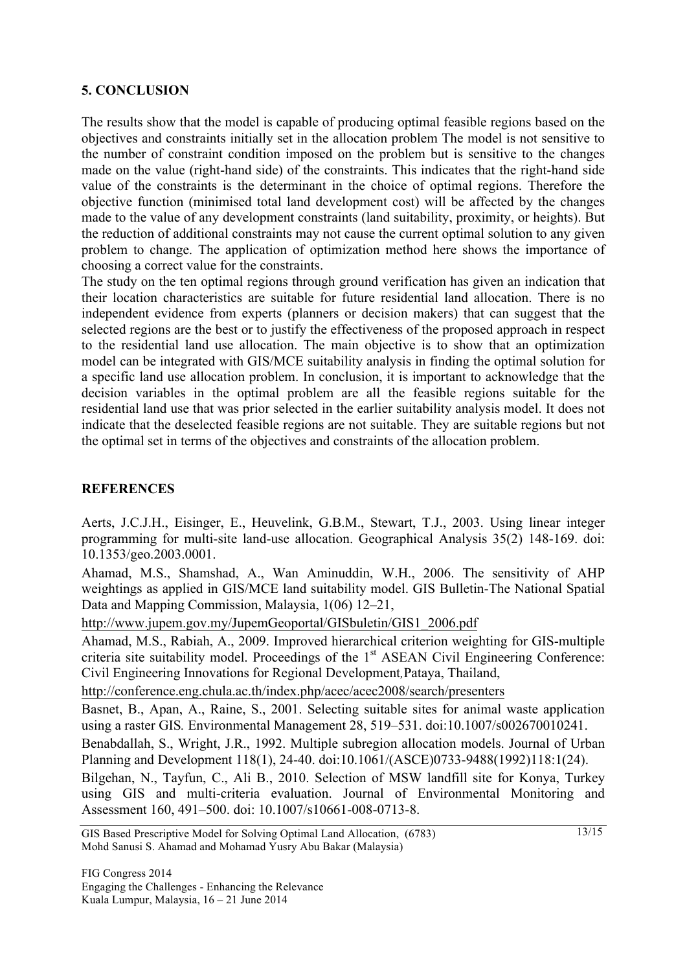### **5. CONCLUSION**

The results show that the model is capable of producing optimal feasible regions based on the objectives and constraints initially set in the allocation problem The model is not sensitive to the number of constraint condition imposed on the problem but is sensitive to the changes made on the value (right-hand side) of the constraints. This indicates that the right-hand side value of the constraints is the determinant in the choice of optimal regions. Therefore the objective function (minimised total land development cost) will be affected by the changes made to the value of any development constraints (land suitability, proximity, or heights). But the reduction of additional constraints may not cause the current optimal solution to any given problem to change. The application of optimization method here shows the importance of choosing a correct value for the constraints.

The study on the ten optimal regions through ground verification has given an indication that their location characteristics are suitable for future residential land allocation. There is no independent evidence from experts (planners or decision makers) that can suggest that the selected regions are the best or to justify the effectiveness of the proposed approach in respect to the residential land use allocation. The main objective is to show that an optimization model can be integrated with GIS/MCE suitability analysis in finding the optimal solution for a specific land use allocation problem. In conclusion, it is important to acknowledge that the decision variables in the optimal problem are all the feasible regions suitable for the residential land use that was prior selected in the earlier suitability analysis model. It does not indicate that the deselected feasible regions are not suitable. They are suitable regions but not the optimal set in terms of the objectives and constraints of the allocation problem.

# **REFERENCES**

Aerts, J.C.J.H., Eisinger, E., Heuvelink, G.B.M., Stewart, T.J., 2003. Using linear integer programming for multi-site land-use allocation. Geographical Analysis 35(2) 148-169. doi: 10.1353/geo.2003.0001.

Ahamad, M.S., Shamshad, A., Wan Aminuddin, W.H., 2006. The sensitivity of AHP weightings as applied in GIS/MCE land suitability model. GIS Bulletin-The National Spatial Data and Mapping Commission, Malaysia, 1(06) 12–21,

http://www.jupem.gov.my/JupemGeoportal/GISbuletin/GIS1\_2006.pdf

Ahamad, M.S., Rabiah, A., 2009. Improved hierarchical criterion weighting for GIS-multiple criteria site suitability model. Proceedings of the 1<sup>st</sup> ASEAN Civil Engineering Conference: Civil Engineering Innovations for Regional Development*,*Pataya, Thailand,

http://conference.eng.chula.ac.th/index.php/acec/acec2008/search/presenters

Basnet, B., Apan, A., Raine, S., 2001. Selecting suitable sites for animal waste application using a raster GIS*.* Environmental Management 28, 519–531. doi:10.1007/s002670010241.

Benabdallah, S., Wright, J.R., 1992. Multiple subregion allocation models. Journal of Urban Planning and Development 118(1), 24-40. doi:10.1061/(ASCE)0733-9488(1992)118:1(24).

Bilgehan, N., Tayfun, C., Ali B., 2010. Selection of MSW landfill site for Konya, Turkey using GIS and multi-criteria evaluation. Journal of Environmental Monitoring and Assessment 160, 491–500. doi: 10.1007/s10661-008-0713-8.

GIS Based Prescriptive Model for Solving Optimal Land Allocation, (6783) Mohd Sanusi S. Ahamad and Mohamad Yusry Abu Bakar (Malaysia)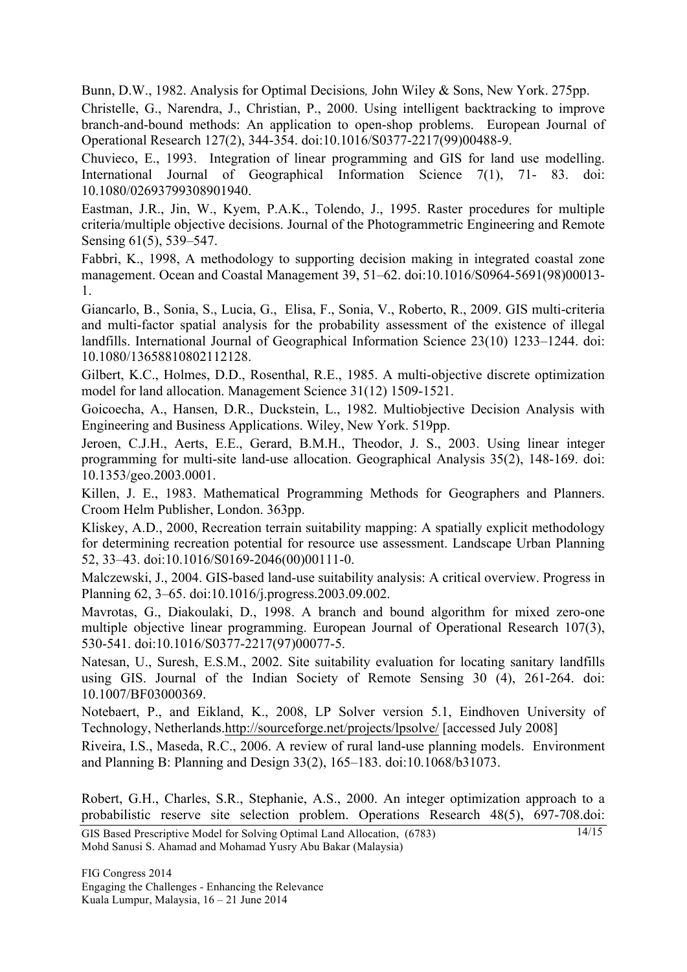Bunn, D.W., 1982. Analysis for Optimal Decisions*,* John Wiley & Sons, New York. 275pp.

Christelle, G., Narendra, J., Christian, P., 2000. Using intelligent backtracking to improve branch-and-bound methods: An application to open-shop problems. European Journal of Operational Research 127(2), 344-354. doi:10.1016/S0377-2217(99)00488-9.

Chuvieco, E., 1993. Integration of linear programming and GIS for land use modelling. International Journal of Geographical Information Science 7(1), 71- 83. doi: 10.1080/02693799308901940.

Eastman, J.R., Jin, W., Kyem, P.A.K., Tolendo, J., 1995. Raster procedures for multiple criteria/multiple objective decisions. Journal of the Photogrammetric Engineering and Remote Sensing 61(5), 539–547.

Fabbri, K., 1998, A methodology to supporting decision making in integrated coastal zone management. Ocean and Coastal Management 39, 51–62. doi:10.1016/S0964-5691(98)00013- 1.

Giancarlo, B., Sonia, S., Lucia, G., Elisa, F., Sonia, V., Roberto, R., 2009. GIS multi-criteria and multi-factor spatial analysis for the probability assessment of the existence of illegal landfills. International Journal of Geographical Information Science 23(10) 1233–1244. doi: 10.1080/13658810802112128.

Gilbert, K.C., Holmes, D.D., Rosenthal, R.E., 1985. A multi-objective discrete optimization model for land allocation. Management Science 31(12) 1509-1521.

Goicoecha, A., Hansen, D.R., Duckstein, L., 1982. Multiobjective Decision Analysis with Engineering and Business Applications. Wiley, New York. 519pp.

Jeroen, C.J.H., Aerts, E.E., Gerard, B.M.H., Theodor, J. S., 2003. Using linear integer programming for multi-site land-use allocation. Geographical Analysis 35(2), 148-169. doi: 10.1353/geo.2003.0001.

Killen, J. E., 1983. Mathematical Programming Methods for Geographers and Planners. Croom Helm Publisher, London. 363pp.

Kliskey, A.D., 2000, Recreation terrain suitability mapping: A spatially explicit methodology for determining recreation potential for resource use assessment. Landscape Urban Planning 52, 33–43. doi:10.1016/S0169-2046(00)00111-0.

Malczewski, J., 2004. GIS-based land-use suitability analysis: A critical overview. Progress in Planning 62, 3–65. doi:10.1016/j.progress.2003.09.002.

Mavrotas, G., Diakoulaki, D., 1998. A branch and bound algorithm for mixed zero-one multiple objective linear programming. European Journal of Operational Research 107(3), 530-541. doi:10.1016/S0377-2217(97)00077-5.

Natesan, U., Suresh, E.S.M., 2002. Site suitability evaluation for locating sanitary landfills using GIS. Journal of the Indian Society of Remote Sensing 30 (4), 261-264. doi: 10.1007/BF03000369.

Notebaert, P., and Eikland, K., 2008, LP Solver version 5.1, Eindhoven University of Technology, Netherlands.http://sourceforge.net/projects/lpsolve/ [accessed July 2008]

Riveira, I.S., Maseda, R.C., 2006. A review of rural land-use planning models. Environment and Planning B: Planning and Design 33(2), 165–183. doi:10.1068/b31073.

Robert, G.H., Charles, S.R., Stephanie, A.S., 2000. An integer optimization approach to a probabilistic reserve site selection problem. Operations Research 48(5), 697-708.doi: